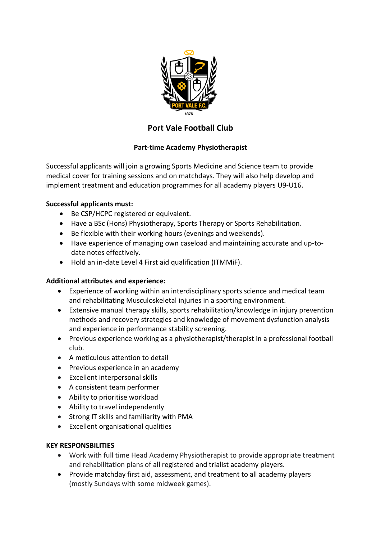

# **Port Vale Football Club**

# **Part-time Academy Physiotherapist**

Successful applicants will join a growing Sports Medicine and Science team to provide medical cover for training sessions and on matchdays. They will also help develop and implement treatment and education programmes for all academy players U9-U16.

### **Successful applicants must:**

- Be CSP/HCPC registered or equivalent.
- Have a BSc (Hons) Physiotherapy, Sports Therapy or Sports Rehabilitation.
- Be flexible with their working hours (evenings and weekends).
- Have experience of managing own caseload and maintaining accurate and up-todate notes effectively.
- Hold an in-date Level 4 First aid qualification (ITMMiF).

### **Additional attributes and experience:**

- Experience of working within an interdisciplinary sports science and medical team and rehabilitating Musculoskeletal injuries in a sporting environment.
- Extensive manual therapy skills, sports rehabilitation/knowledge in injury prevention methods and recovery strategies and knowledge of movement dysfunction analysis and experience in performance stability screening.
- Previous experience working as a physiotherapist/therapist in a professional football club.
- A meticulous attention to detail
- Previous experience in an academy
- Excellent interpersonal skills
- A consistent team performer
- Ability to prioritise workload
- Ability to travel independently
- Strong IT skills and familiarity with PMA
- Excellent organisational qualities

### **KEY RESPONSBILITIES**

- Work with full time Head Academy Physiotherapist to provide appropriate treatment and rehabilitation plans of all registered and trialist academy players.
- Provide matchday first aid, assessment, and treatment to all academy players (mostly Sundays with some midweek games).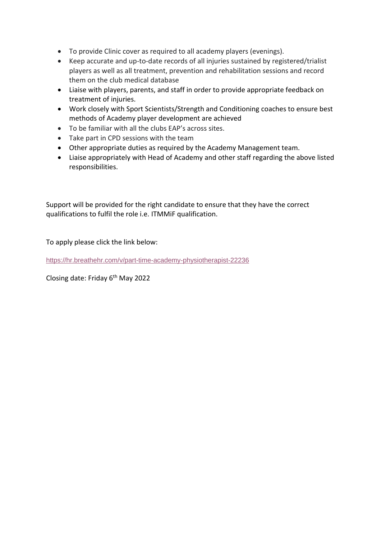- To provide Clinic cover as required to all academy players (evenings).
- Keep accurate and up-to-date records of all injuries sustained by registered/trialist players as well as all treatment, prevention and rehabilitation sessions and record them on the club medical database
- Liaise with players, parents, and staff in order to provide appropriate feedback on treatment of injuries.
- Work closely with Sport Scientists/Strength and Conditioning coaches to ensure best methods of Academy player development are achieved
- To be familiar with all the clubs EAP's across sites.
- Take part in CPD sessions with the team
- Other appropriate duties as required by the Academy Management team.
- Liaise appropriately with Head of Academy and other staff regarding the above listed responsibilities.

Support will be provided for the right candidate to ensure that they have the correct qualifications to fulfil the role i.e. ITMMiF qualification.

To apply please click the link below:

<https://hr.breathehr.com/v/part-time-academy-physiotherapist-22236>

Closing date: Friday 6th May 2022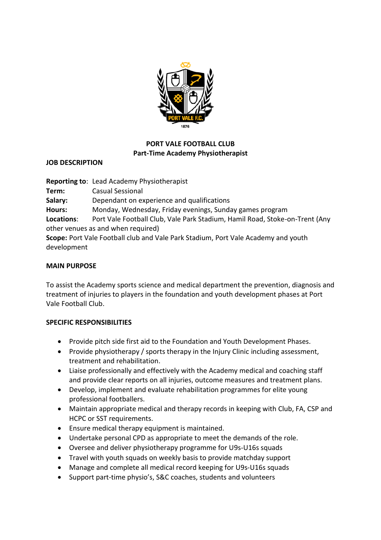

# **PORT VALE FOOTBALL CLUB Part-Time Academy Physiotherapist**

### **JOB DESCRIPTION**

**Reporting to**: Lead Academy Physiotherapist **Term:** Casual Sessional **Salary:** Dependant on experience and qualifications **Hours:** Monday, Wednesday, Friday evenings, Sunday games program **Locations**: Port Vale Football Club, Vale Park Stadium, Hamil Road, Stoke-on-Trent (Any other venues as and when required) **Scope:** Port Vale Football club and Vale Park Stadium, Port Vale Academy and youth development

#### **MAIN PURPOSE**

To assist the Academy sports science and medical department the prevention, diagnosis and treatment of injuries to players in the foundation and youth development phases at Port Vale Football Club.

### **SPECIFIC RESPONSIBILITIES**

- Provide pitch side first aid to the Foundation and Youth Development Phases.
- Provide physiotherapy / sports therapy in the Injury Clinic including assessment, treatment and rehabilitation.
- Liaise professionally and effectively with the Academy medical and coaching staff and provide clear reports on all injuries, outcome measures and treatment plans.
- Develop, implement and evaluate rehabilitation programmes for elite young professional footballers.
- Maintain appropriate medical and therapy records in keeping with Club, FA, CSP and HCPC or SST requirements.
- Ensure medical therapy equipment is maintained.
- Undertake personal CPD as appropriate to meet the demands of the role.
- Oversee and deliver physiotherapy programme for U9s-U16s squads
- Travel with youth squads on weekly basis to provide matchday support
- Manage and complete all medical record keeping for U9s-U16s squads
- Support part-time physio's, S&C coaches, students and volunteers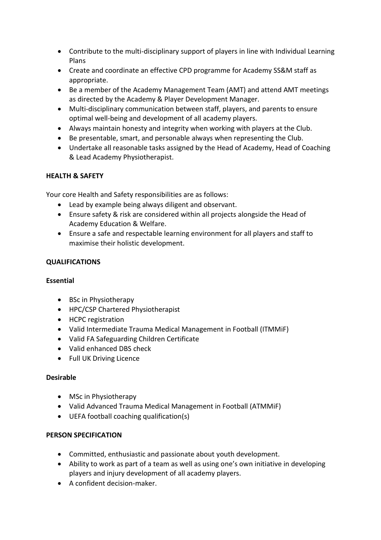- Contribute to the multi-disciplinary support of players in line with Individual Learning Plans
- Create and coordinate an effective CPD programme for Academy SS&M staff as appropriate.
- Be a member of the Academy Management Team (AMT) and attend AMT meetings as directed by the Academy & Player Development Manager.
- Multi-disciplinary communication between staff, players, and parents to ensure optimal well-being and development of all academy players.
- Always maintain honesty and integrity when working with players at the Club.
- Be presentable, smart, and personable always when representing the Club.
- Undertake all reasonable tasks assigned by the Head of Academy, Head of Coaching & Lead Academy Physiotherapist.

### **HEALTH & SAFETY**

Your core Health and Safety responsibilities are as follows:

- Lead by example being always diligent and observant.
- Ensure safety & risk are considered within all projects alongside the Head of Academy Education & Welfare.
- Ensure a safe and respectable learning environment for all players and staff to maximise their holistic development.

## **QUALIFICATIONS**

### **Essential**

- BSc in Physiotherapy
- HPC/CSP Chartered Physiotherapist
- HCPC registration
- Valid Intermediate Trauma Medical Management in Football (ITMMiF)
- Valid FA Safeguarding Children Certificate
- Valid enhanced DBS check
- Full UK Driving Licence

### **Desirable**

- MSc in Physiotherapy
- Valid Advanced Trauma Medical Management in Football (ATMMiF)
- UEFA football coaching qualification(s)

### **PERSON SPECIFICATION**

- Committed, enthusiastic and passionate about youth development.
- Ability to work as part of a team as well as using one's own initiative in developing players and injury development of all academy players.
- A confident decision-maker.